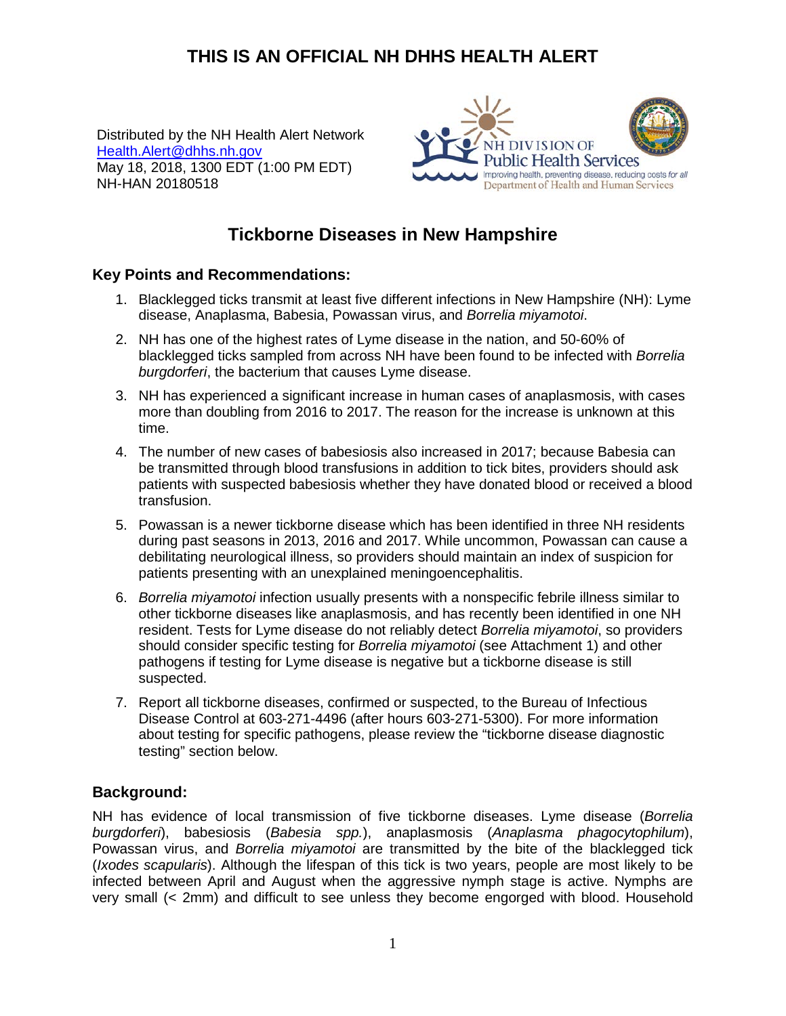# **THIS IS AN OFFICIAL NH DHHS HEALTH ALERT**

Distributed by the NH Health Alert Network [Health.Alert@dhhs.nh.gov](mailto:Health.Alert@dhhs.nh.gov) May 18, 2018, 1300 EDT (1:00 PM EDT) NH-HAN 20180518



# **Tickborne Diseases in New Hampshire**

#### **Key Points and Recommendations:**

- 1. Blacklegged ticks transmit at least five different infections in New Hampshire (NH): Lyme disease, Anaplasma, Babesia, Powassan virus, and *Borrelia miyamotoi*.
- 2. NH has one of the highest rates of Lyme disease in the nation, and 50-60% of blacklegged ticks sampled from across NH have been found to be infected with *Borrelia burgdorferi*, the bacterium that causes Lyme disease.
- 3. NH has experienced a significant increase in human cases of anaplasmosis, with cases more than doubling from 2016 to 2017. The reason for the increase is unknown at this time.
- 4. The number of new cases of babesiosis also increased in 2017; because Babesia can be transmitted through blood transfusions in addition to tick bites, providers should ask patients with suspected babesiosis whether they have donated blood or received a blood transfusion.
- 5. Powassan is a newer tickborne disease which has been identified in three NH residents during past seasons in 2013, 2016 and 2017. While uncommon, Powassan can cause a debilitating neurological illness, so providers should maintain an index of suspicion for patients presenting with an unexplained meningoencephalitis.
- 6. *Borrelia miyamotoi* infection usually presents with a nonspecific febrile illness similar to other tickborne diseases like anaplasmosis, and has recently been identified in one NH resident. Tests for Lyme disease do not reliably detect *Borrelia miyamotoi*, so providers should consider specific testing for *Borrelia miyamotoi* (see Attachment 1) and other pathogens if testing for Lyme disease is negative but a tickborne disease is still suspected.
- 7. Report all tickborne diseases, confirmed or suspected, to the Bureau of Infectious Disease Control at 603-271-4496 (after hours 603-271-5300). For more information about testing for specific pathogens, please review the "tickborne disease diagnostic testing" section below.

## **Background:**

NH has evidence of local transmission of five tickborne diseases. Lyme disease (*Borrelia burgdorferi*), babesiosis (*Babesia spp.*), anaplasmosis (*Anaplasma phagocytophilum*), Powassan virus, and *Borrelia miyamotoi* are transmitted by the bite of the blacklegged tick (*Ixodes scapularis*). Although the lifespan of this tick is two years, people are most likely to be infected between April and August when the aggressive nymph stage is active. Nymphs are very small (< 2mm) and difficult to see unless they become engorged with blood. Household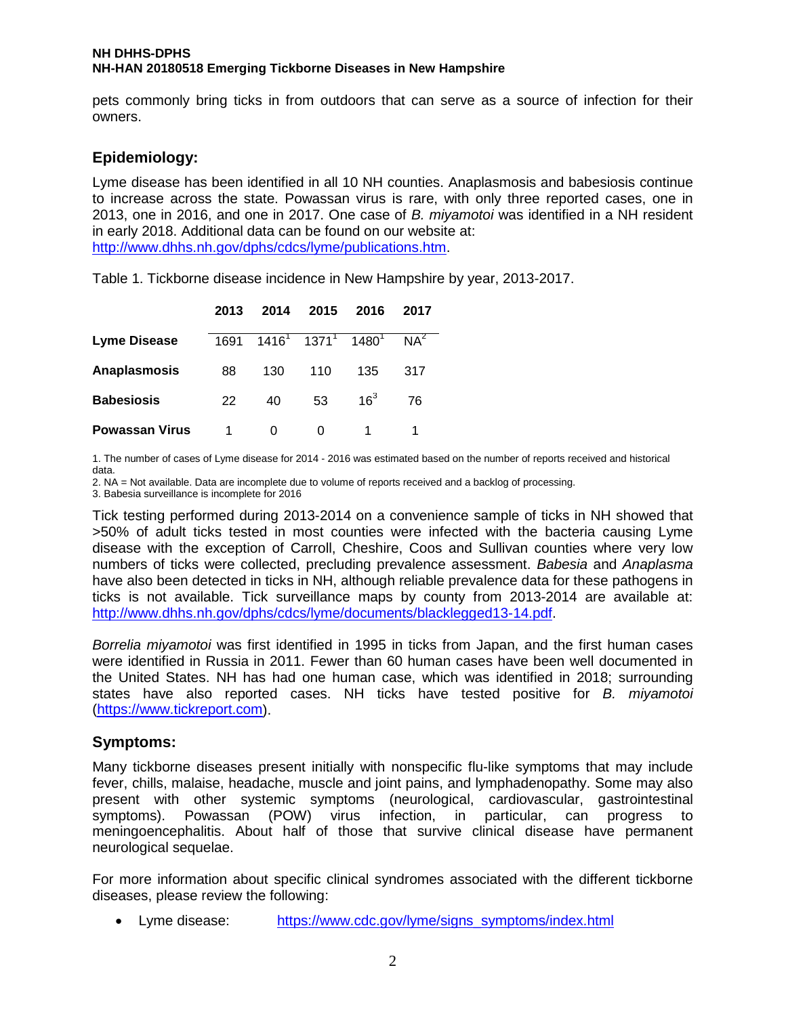pets commonly bring ticks in from outdoors that can serve as a source of infection for their owners.

## **Epidemiology:**

Lyme disease has been identified in all 10 NH counties. Anaplasmosis and babesiosis continue to increase across the state. Powassan virus is rare, with only three reported cases, one in 2013, one in 2016, and one in 2017. One case of *B. miyamotoi* was identified in a NH resident in early 2018. Additional data can be found on our website at: [http://www.dhhs.nh.gov/dphs/cdcs/lyme/publications.htm.](http://www.dhhs.nh.gov/dphs/cdcs/lyme/publications.htm)

**2013 2014 2015 2016 2017 Lyme Disease**  $\sqrt{1691}$   $1416^1$   $1371^1$   $1480^1$   $NA^2$ **Anaplasmosis** 88 130 110 135 317 **Babesiosis** 22 40 53 16<sup>3</sup> 76 **Powassan Virus** 1 0 0 1 1

Table 1. Tickborne disease incidence in New Hampshire by year, 2013-2017.

1. The number of cases of Lyme disease for 2014 - 2016 was estimated based on the number of reports received and historical data.

2. NA = Not available. Data are incomplete due to volume of reports received and a backlog of processing.

3. Babesia surveillance is incomplete for 2016

Tick testing performed during 2013-2014 on a convenience sample of ticks in NH showed that >50% of adult ticks tested in most counties were infected with the bacteria causing Lyme disease with the exception of Carroll, Cheshire, Coos and Sullivan counties where very low numbers of ticks were collected, precluding prevalence assessment. *Babesia* and *Anaplasma* have also been detected in ticks in NH, although reliable prevalence data for these pathogens in ticks is not available. Tick surveillance maps by county from 2013-2014 are available at: [http://www.dhhs.nh.gov/dphs/cdcs/lyme/documents/blacklegged13-14.pdf.](http://www.dhhs.nh.gov/dphs/cdcs/lyme/documents/blacklegged13-14.pdf)

*Borrelia miyamotoi* was first identified in 1995 in ticks from Japan, and the first human cases were identified in Russia in 2011. Fewer than 60 human cases have been well documented in the United States. NH has had one human case, which was identified in 2018; surrounding states have also reported cases. NH ticks have tested positive for *B. miyamotoi* [\(https://www.tickreport.com\)](https://www.tickreport.com/).

## **Symptoms:**

Many tickborne diseases present initially with nonspecific flu-like symptoms that may include fever, chills, malaise, headache, muscle and joint pains, and lymphadenopathy. Some may also present with other systemic symptoms (neurological, cardiovascular, gastrointestinal symptoms). Powassan (POW) virus infection, in particular, can progress to meningoencephalitis. About half of those that survive clinical disease have permanent neurological sequelae.

For more information about specific clinical syndromes associated with the different tickborne diseases, please review the following:

• Lyme disease: [https://www.cdc.gov/lyme/signs\\_symptoms/index.html](https://www.cdc.gov/lyme/signs_symptoms/index.html)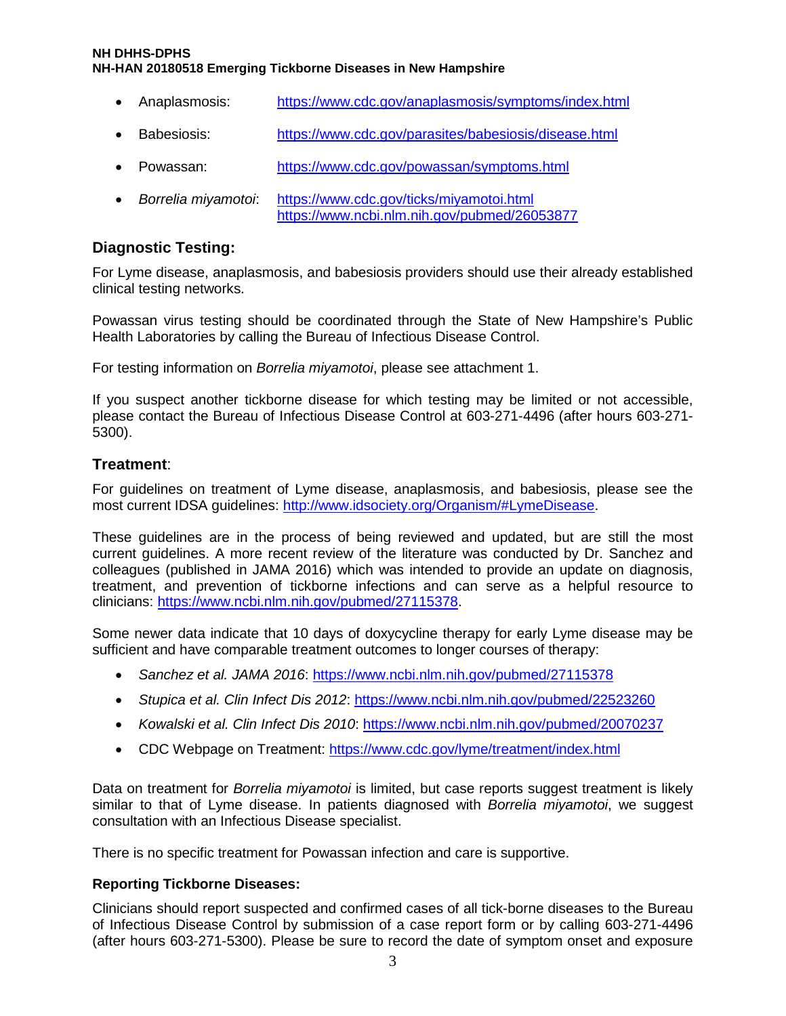- Anaplasmosis: <https://www.cdc.gov/anaplasmosis/symptoms/index.html>
- Babesiosis: <https://www.cdc.gov/parasites/babesiosis/disease.html>
- Powassan: <https://www.cdc.gov/powassan/symptoms.html>
- *Borrelia miyamotoi*: <https://www.cdc.gov/ticks/miyamotoi.html> <https://www.ncbi.nlm.nih.gov/pubmed/26053877>

## **Diagnostic Testing:**

For Lyme disease, anaplasmosis, and babesiosis providers should use their already established clinical testing networks.

Powassan virus testing should be coordinated through the State of New Hampshire's Public Health Laboratories by calling the Bureau of Infectious Disease Control.

For testing information on *Borrelia miyamotoi*, please see attachment 1.

If you suspect another tickborne disease for which testing may be limited or not accessible, please contact the Bureau of Infectious Disease Control at 603-271-4496 (after hours 603-271- 5300).

## **Treatment**:

For guidelines on treatment of Lyme disease, anaplasmosis, and babesiosis, please see the most current IDSA guidelines: [http://www.idsociety.org/Organism/#LymeDisease.](http://www.idsociety.org/Organism/#LymeDisease)

These guidelines are in the process of being reviewed and updated, but are still the most current guidelines. A more recent review of the literature was conducted by Dr. Sanchez and colleagues (published in JAMA 2016) which was intended to provide an update on diagnosis, treatment, and prevention of tickborne infections and can serve as a helpful resource to clinicians: [https://www.ncbi.nlm.nih.gov/pubmed/27115378.](https://www.ncbi.nlm.nih.gov/pubmed/27115378)

Some newer data indicate that 10 days of doxycycline therapy for early Lyme disease may be sufficient and have comparable treatment outcomes to longer courses of therapy:

- *Sanchez et al. JAMA 2016*:<https://www.ncbi.nlm.nih.gov/pubmed/27115378>
- *Stupica et al. Clin Infect Dis 2012*:<https://www.ncbi.nlm.nih.gov/pubmed/22523260>
- *Kowalski et al. Clin Infect Dis 2010*:<https://www.ncbi.nlm.nih.gov/pubmed/20070237>
- CDC Webpage on Treatment:<https://www.cdc.gov/lyme/treatment/index.html>

Data on treatment for *Borrelia miyamotoi* is limited, but case reports suggest treatment is likely similar to that of Lyme disease. In patients diagnosed with *Borrelia miyamotoi*, we suggest consultation with an Infectious Disease specialist.

There is no specific treatment for Powassan infection and care is supportive.

#### **Reporting Tickborne Diseases:**

Clinicians should report suspected and confirmed cases of all tick-borne diseases to the Bureau of Infectious Disease Control by submission of a case report form or by calling 603-271-4496 (after hours 603-271-5300). Please be sure to record the date of symptom onset and exposure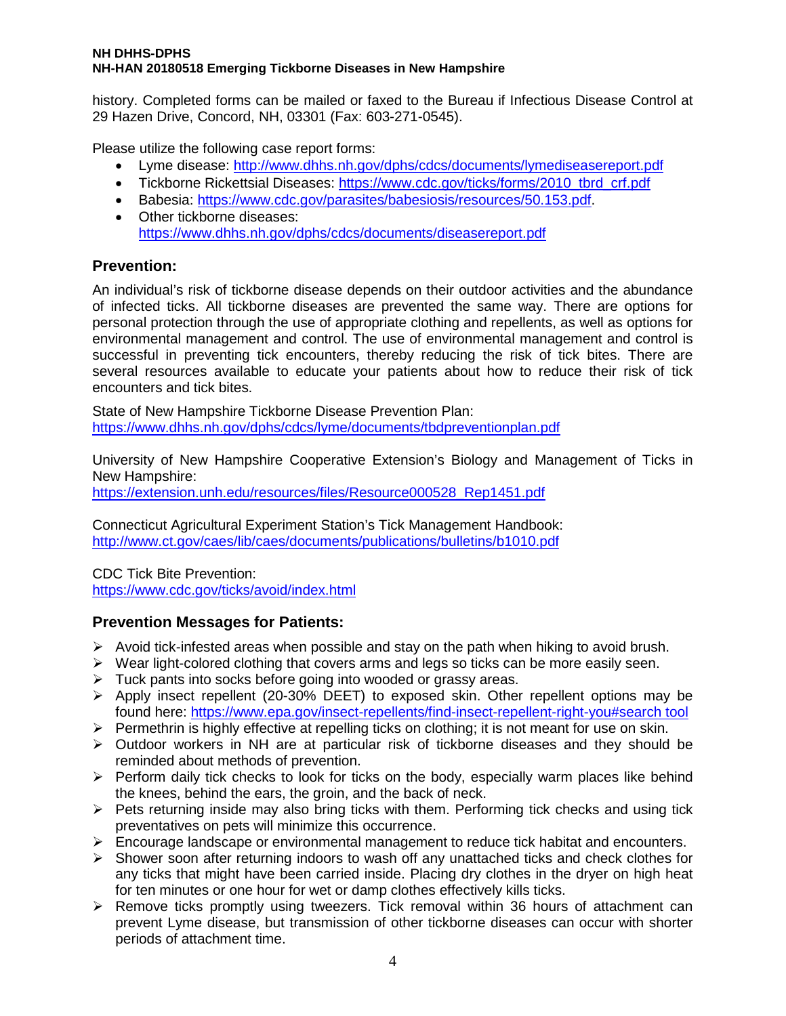history. Completed forms can be mailed or faxed to the Bureau if Infectious Disease Control at 29 Hazen Drive, Concord, NH, 03301 (Fax: 603-271-0545).

Please utilize the following case report forms:

- Lyme disease:<http://www.dhhs.nh.gov/dphs/cdcs/documents/lymediseasereport.pdf>
- Tickborne Rickettsial Diseases: [https://www.cdc.gov/ticks/forms/2010\\_tbrd\\_crf.pdf](https://www.cdc.gov/ticks/forms/2010_tbrd_crf.pdf)
- Babesia: [https://www.cdc.gov/parasites/babesiosis/resources/50.153.pdf.](https://www.cdc.gov/parasites/babesiosis/resources/50.153.pdf)
- Other tickborne diseases: <https://www.dhhs.nh.gov/dphs/cdcs/documents/diseasereport.pdf>

## **Prevention:**

An individual's risk of tickborne disease depends on their outdoor activities and the abundance of infected ticks. All tickborne diseases are prevented the same way. There are options for personal protection through the use of appropriate clothing and repellents, as well as options for environmental management and control. The use of environmental management and control is successful in preventing tick encounters, thereby reducing the risk of tick bites. There are several resources available to educate your patients about how to reduce their risk of tick encounters and tick bites.

State of New Hampshire Tickborne Disease Prevention Plan: <https://www.dhhs.nh.gov/dphs/cdcs/lyme/documents/tbdpreventionplan.pdf>

University of New Hampshire Cooperative Extension's Biology and Management of Ticks in New Hampshire:

[https://extension.unh.edu/resources/files/Resource000528\\_Rep1451.pdf](https://extension.unh.edu/resources/files/Resource000528_Rep1451.pdf)

Connecticut Agricultural Experiment Station's Tick Management Handbook: <http://www.ct.gov/caes/lib/caes/documents/publications/bulletins/b1010.pdf>

CDC Tick Bite Prevention: <https://www.cdc.gov/ticks/avoid/index.html>

## **Prevention Messages for Patients:**

- $\triangleright$  Avoid tick-infested areas when possible and stay on the path when hiking to avoid brush.
- $\triangleright$  Wear light-colored clothing that covers arms and legs so ticks can be more easily seen.
- $\triangleright$  Tuck pants into socks before going into wooded or grassy areas.
- $\triangleright$  Apply insect repellent (20-30% DEET) to exposed skin. Other repellent options may be found here: [https://www.epa.gov/insect-repellents/find-insect-repellent-right-you#search tool](https://www.epa.gov/insect-repellents/find-insect-repellent-right-you%23search%20tool)
- $\triangleright$  Permethrin is highly effective at repelling ticks on clothing; it is not meant for use on skin.
- $\triangleright$  Outdoor workers in NH are at particular risk of tickborne diseases and they should be reminded about methods of prevention.
- $\triangleright$  Perform daily tick checks to look for ticks on the body, especially warm places like behind the knees, behind the ears, the groin, and the back of neck.
- $\triangleright$  Pets returning inside may also bring ticks with them. Performing tick checks and using tick preventatives on pets will minimize this occurrence.
- $\triangleright$  Encourage landscape or environmental management to reduce tick habitat and encounters.
- $\triangleright$  Shower soon after returning indoors to wash off any unattached ticks and check clothes for any ticks that might have been carried inside. Placing dry clothes in the dryer on high heat for ten minutes or one hour for wet or damp clothes effectively kills ticks.
- $\triangleright$  Remove ticks promptly using tweezers. Tick removal within 36 hours of attachment can prevent Lyme disease, but transmission of other tickborne diseases can occur with shorter periods of attachment time.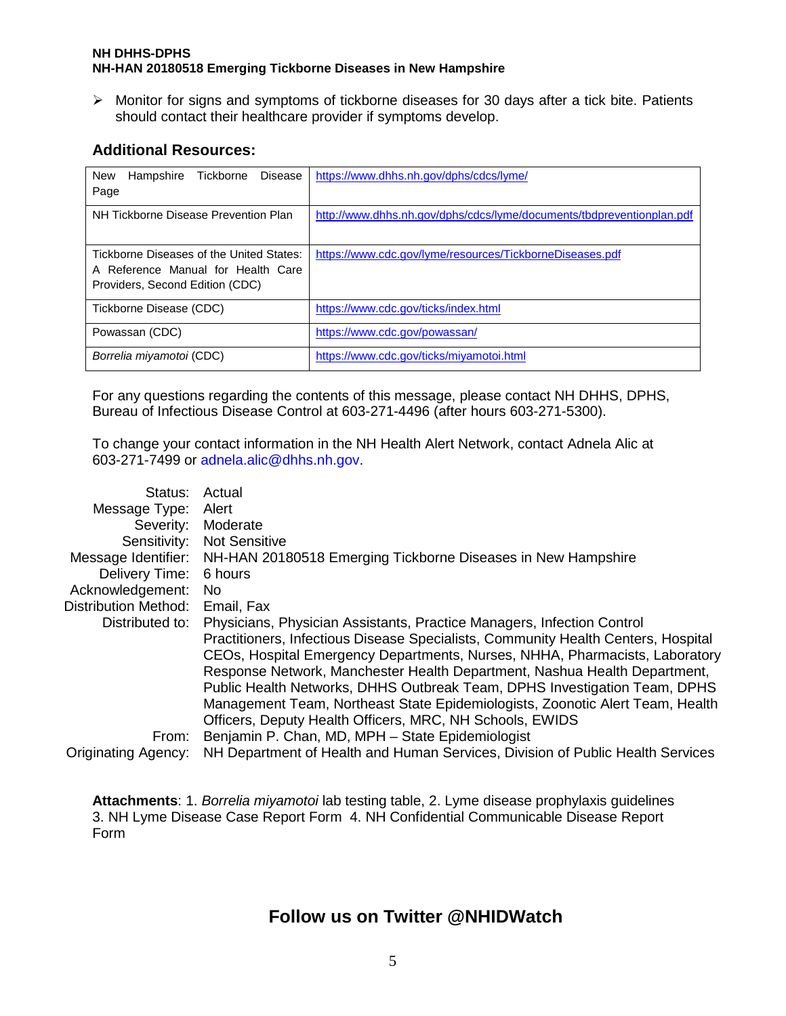$\triangleright$  Monitor for signs and symptoms of tickborne diseases for 30 days after a tick bite. Patients should contact their healthcare provider if symptoms develop.

## **Additional Resources:**

| Hampshire<br>Disease<br><b>New</b><br>Tickborne<br>Page                                                           | https://www.dhhs.nh.gov/dphs/cdcs/lyme/                               |
|-------------------------------------------------------------------------------------------------------------------|-----------------------------------------------------------------------|
| NH Tickborne Disease Prevention Plan                                                                              | http://www.dhhs.nh.gov/dphs/cdcs/lyme/documents/tbdpreventionplan.pdf |
| Tickborne Diseases of the United States:<br>A Reference Manual for Health Care<br>Providers, Second Edition (CDC) | https://www.cdc.gov/lyme/resources/TickborneDiseases.pdf              |
| Tickborne Disease (CDC)                                                                                           | https://www.cdc.gov/ticks/index.html                                  |
| Powassan (CDC)                                                                                                    | https://www.cdc.gov/powassan/                                         |
| Borrelia miyamotoi (CDC)                                                                                          | https://www.cdc.gov/ticks/miyamotoi.html                              |

For any questions regarding the contents of this message, please contact NH DHHS, DPHS, Bureau of Infectious Disease Control at 603-271-4496 (after hours 603-271-5300).

To change your contact information in the NH Health Alert Network, contact Adnela Alic at 603-271-7499 or adnela.alic@dhhs.nh.gov.

| Status:                     | Actual                                                                            |
|-----------------------------|-----------------------------------------------------------------------------------|
| Message Type:               | Alert                                                                             |
| Severity:                   | Moderate                                                                          |
| Sensitivity:                | <b>Not Sensitive</b>                                                              |
| Message Identifier:         | NH-HAN 20180518 Emerging Tickborne Diseases in New Hampshire                      |
| Delivery Time:              | 6 hours                                                                           |
| Acknowledgement:            | No.                                                                               |
| <b>Distribution Method:</b> | Email, Fax                                                                        |
| Distributed to:             | Physicians, Physician Assistants, Practice Managers, Infection Control            |
|                             | Practitioners, Infectious Disease Specialists, Community Health Centers, Hospital |
|                             | CEOs, Hospital Emergency Departments, Nurses, NHHA, Pharmacists, Laboratory       |
|                             | Response Network, Manchester Health Department, Nashua Health Department,         |
|                             | Public Health Networks, DHHS Outbreak Team, DPHS Investigation Team, DPHS         |
|                             | Management Team, Northeast State Epidemiologists, Zoonotic Alert Team, Health     |
|                             | Officers, Deputy Health Officers, MRC, NH Schools, EWIDS                          |
| From:                       | Benjamin P. Chan, MD, MPH - State Epidemiologist                                  |
| <b>Originating Agency:</b>  | NH Department of Health and Human Services, Division of Public Health Services    |

**Attachments**: 1. *Borrelia miyamotoi* lab testing table, 2. Lyme disease prophylaxis guidelines 3. NH Lyme Disease Case Report Form 4. NH Confidential Communicable Disease Report Form

## **Follow us on Twitter @NHIDWatch**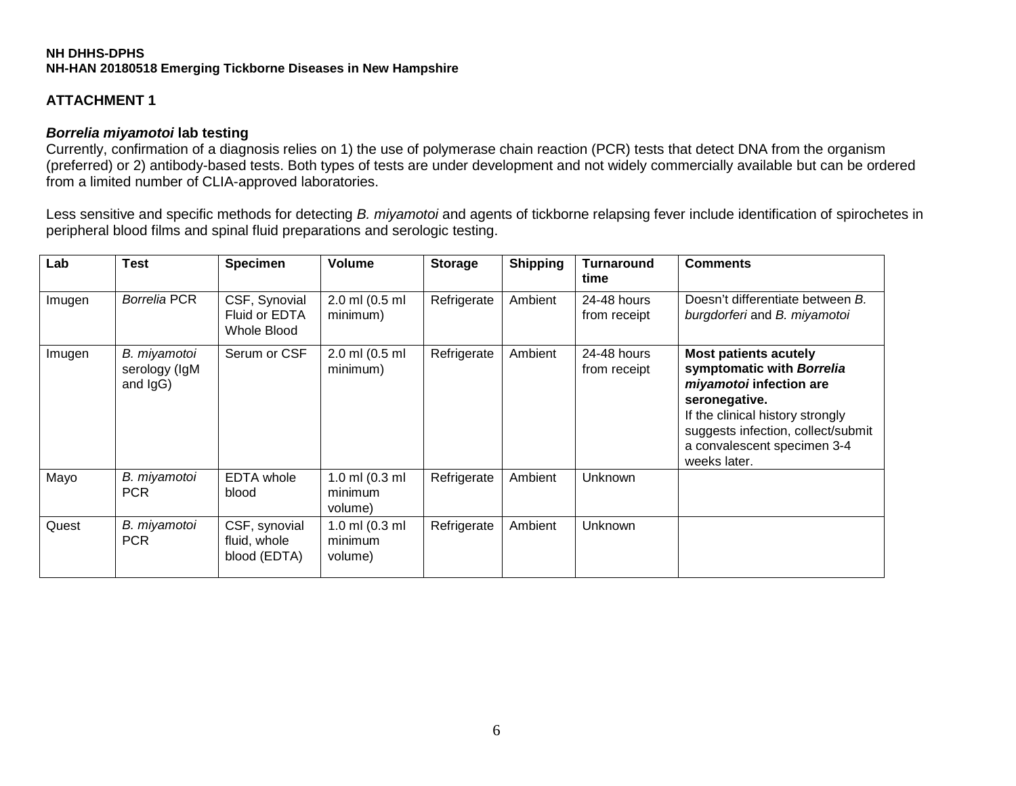## **ATTACHMENT 1**

#### *Borrelia miyamotoi* **lab testing**

Currently, confirmation of a diagnosis relies on 1) the use of polymerase chain reaction (PCR) tests that detect DNA from the organism (preferred) or 2) antibody-based tests. Both types of tests are under development and not widely commercially available but can be ordered from a limited number of CLIA-approved laboratories.

Less sensitive and specific methods for detecting *B. miyamotoi* and agents of tickborne relapsing fever include identification of spirochetes in peripheral blood films and spinal fluid preparations and serologic testing.

| Lab    | <b>Test</b>                               | <b>Specimen</b>                               | Volume                                 | <b>Storage</b> | <b>Shipping</b> | <b>Turnaround</b><br>time   | <b>Comments</b>                                                                                                                                                                                                                |
|--------|-------------------------------------------|-----------------------------------------------|----------------------------------------|----------------|-----------------|-----------------------------|--------------------------------------------------------------------------------------------------------------------------------------------------------------------------------------------------------------------------------|
| Imugen | <b>Borrelia PCR</b>                       | CSF, Synovial<br>Fluid or EDTA<br>Whole Blood | 2.0 ml (0.5 ml<br>minimum)             | Refrigerate    | Ambient         | 24-48 hours<br>from receipt | Doesn't differentiate between B.<br>burgdorferi and B. miyamotoi                                                                                                                                                               |
| Imugen | B. miyamotoi<br>serology (IgM<br>and IgG) | Serum or CSF                                  | 2.0 ml (0.5 ml<br>minimum)             | Refrigerate    | Ambient         | 24-48 hours<br>from receipt | <b>Most patients acutely</b><br>symptomatic with Borrelia<br>miyamotoi infection are<br>seronegative.<br>If the clinical history strongly<br>suggests infection, collect/submit<br>a convalescent specimen 3-4<br>weeks later. |
| Mayo   | B. miyamotoi<br><b>PCR</b>                | EDTA whole<br>blood                           | 1.0 ml $(0.3$ ml<br>minimum<br>volume) | Refrigerate    | Ambient         | Unknown                     |                                                                                                                                                                                                                                |
| Quest  | B. miyamotoi<br><b>PCR</b>                | CSF, synovial<br>fluid, whole<br>blood (EDTA) | 1.0 ml $(0.3$ ml<br>minimum<br>volume) | Refrigerate    | Ambient         | Unknown                     |                                                                                                                                                                                                                                |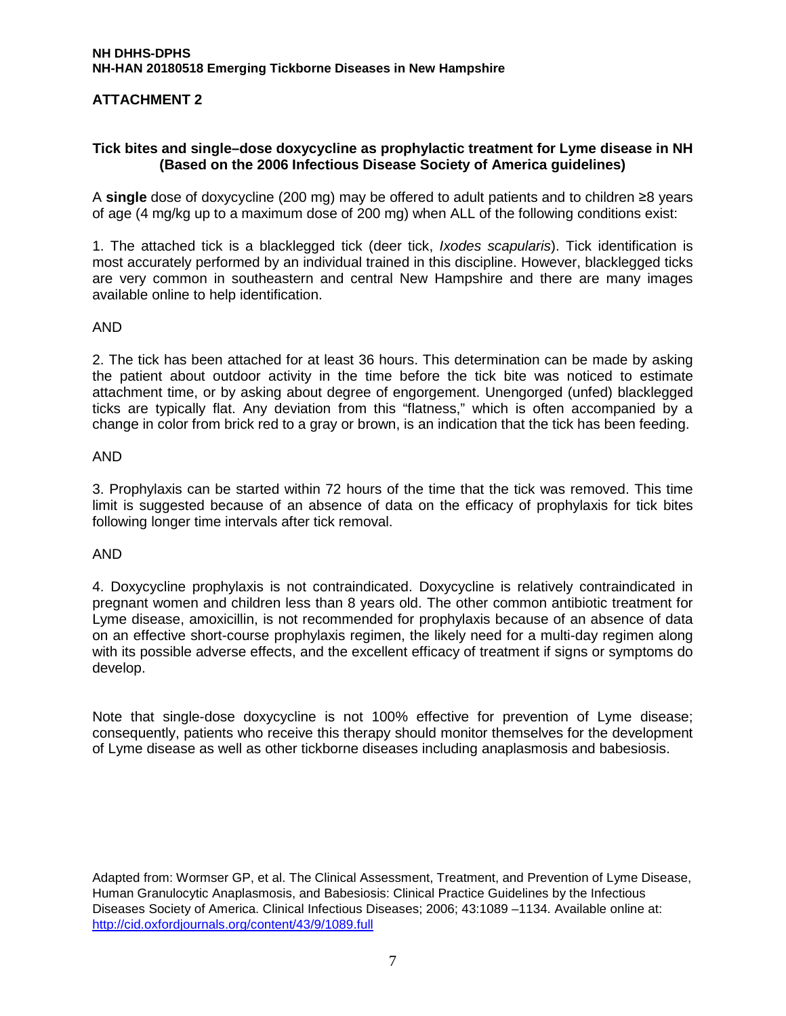## **ATTACHMENT 2**

#### **Tick bites and single–dose doxycycline as prophylactic treatment for Lyme disease in NH (Based on the 2006 Infectious Disease Society of America guidelines)**

A **single** dose of doxycycline (200 mg) may be offered to adult patients and to children ≥8 years of age (4 mg/kg up to a maximum dose of 200 mg) when ALL of the following conditions exist:

1. The attached tick is a blacklegged tick (deer tick, *Ixodes scapularis*). Tick identification is most accurately performed by an individual trained in this discipline. However, blacklegged ticks are very common in southeastern and central New Hampshire and there are many images available online to help identification.

#### AND

2. The tick has been attached for at least 36 hours. This determination can be made by asking the patient about outdoor activity in the time before the tick bite was noticed to estimate attachment time, or by asking about degree of engorgement. Unengorged (unfed) blacklegged ticks are typically flat. Any deviation from this "flatness," which is often accompanied by a change in color from brick red to a gray or brown, is an indication that the tick has been feeding.

#### AND

3. Prophylaxis can be started within 72 hours of the time that the tick was removed. This time limit is suggested because of an absence of data on the efficacy of prophylaxis for tick bites following longer time intervals after tick removal.

#### AND

4. Doxycycline prophylaxis is not contraindicated. Doxycycline is relatively contraindicated in pregnant women and children less than 8 years old. The other common antibiotic treatment for Lyme disease, amoxicillin, is not recommended for prophylaxis because of an absence of data on an effective short-course prophylaxis regimen, the likely need for a multi-day regimen along with its possible adverse effects, and the excellent efficacy of treatment if signs or symptoms do develop.

Note that single-dose doxycycline is not 100% effective for prevention of Lyme disease; consequently, patients who receive this therapy should monitor themselves for the development of Lyme disease as well as other tickborne diseases including anaplasmosis and babesiosis.

Adapted from: Wormser GP, et al. The Clinical Assessment, Treatment, and Prevention of Lyme Disease, Human Granulocytic Anaplasmosis, and Babesiosis: Clinical Practice Guidelines by the Infectious Diseases Society of America. Clinical Infectious Diseases; 2006; 43:1089 –1134. Available online at: <http://cid.oxfordjournals.org/content/43/9/1089.full>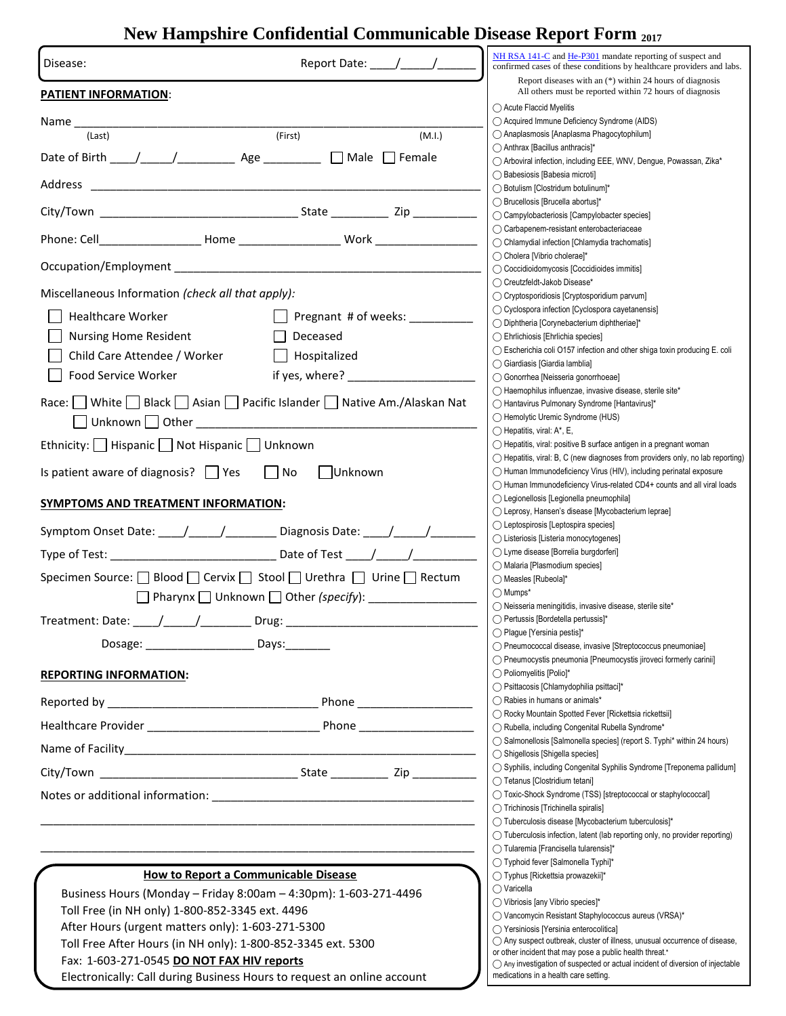## **New Hampshire Confidential Communicable Disease Report Form <sup>2017</sup>**

| Report Date: / /<br>Disease:                                                                                                                                                                                                   | NH RSA 141-C and He-P301 mandate reporting of suspect and<br>confirmed cases of these conditions by healthcare providers and labs. |  |  |  |  |
|--------------------------------------------------------------------------------------------------------------------------------------------------------------------------------------------------------------------------------|------------------------------------------------------------------------------------------------------------------------------------|--|--|--|--|
| <b>PATIENT INFORMATION:</b>                                                                                                                                                                                                    | Report diseases with an $(*)$ within 24 hours of diagnosis<br>All others must be reported within 72 hours of diagnosis             |  |  |  |  |
| Name                                                                                                                                                                                                                           | ◯ Acute Flaccid Myelitis<br>◯ Acquired Immune Deficiency Syndrome (AIDS)                                                           |  |  |  |  |
| (First)<br>(Last)<br>(M.I.)                                                                                                                                                                                                    | ◯ Anaplasmosis [Anaplasma Phagocytophilum]                                                                                         |  |  |  |  |
| $\Box$ Male $\Box$ Female                                                                                                                                                                                                      | ◯ Anthrax [Bacillus anthracis]*<br>◯ Arboviral infection, including EEE, WNV, Dengue, Powassan, Zika*                              |  |  |  |  |
| Address                                                                                                                                                                                                                        | ◯ Babesiosis [Babesia microti]<br>◯ Botulism [Clostridum botulinum]*                                                               |  |  |  |  |
|                                                                                                                                                                                                                                | ◯ Brucellosis [Brucella abortus]*<br>◯ Campylobacteriosis [Campylobacter species]                                                  |  |  |  |  |
|                                                                                                                                                                                                                                | ◯ Carbapenem-resistant enterobacteriaceae<br>◯ Chlamydial infection [Chlamydia trachomatis]                                        |  |  |  |  |
|                                                                                                                                                                                                                                | ◯ Cholera [Vibrio cholerae]*                                                                                                       |  |  |  |  |
|                                                                                                                                                                                                                                | ◯ Coccidioidomycosis [Coccidioides immitis]<br>◯ Creutzfeldt-Jakob Disease*                                                        |  |  |  |  |
| Miscellaneous Information (check all that apply):                                                                                                                                                                              | ◯ Cryptosporidiosis [Cryptosporidium parvum]                                                                                       |  |  |  |  |
| <b>Healthcare Worker</b><br>Pregnant # of weeks:                                                                                                                                                                               | ◯ Cyclospora infection [Cyclospora cayetanensis]                                                                                   |  |  |  |  |
| <b>Nursing Home Resident</b><br>$\perp$<br>Deceased                                                                                                                                                                            | ◯ Diphtheria [Corynebacterium diphtheriae]*<br>◯ Ehrlichiosis [Ehrlichia species]                                                  |  |  |  |  |
|                                                                                                                                                                                                                                | $\bigcirc$ Escherichia coli O157 infection and other shiga toxin producing E. coli                                                 |  |  |  |  |
| Child Care Attendee / Worker<br>$\Box$ Hospitalized                                                                                                                                                                            | ◯ Giardiasis [Giardia lamblia]                                                                                                     |  |  |  |  |
| if yes, where? $\qquad \qquad$<br>Food Service Worker                                                                                                                                                                          | ◯ Gonorrhea [Neisseria gonorrhoeae]                                                                                                |  |  |  |  |
| Race: White Black Asian Pacific Islander Native Am./Alaskan Nat                                                                                                                                                                | ◯ Haemophilus influenzae, invasive disease, sterile site*                                                                          |  |  |  |  |
|                                                                                                                                                                                                                                | ◯ Hantavirus Pulmonary Syndrome [Hantavirus]*<br>◯ Hemolytic Uremic Syndrome (HUS)                                                 |  |  |  |  |
|                                                                                                                                                                                                                                | $\bigcirc$ Hepatitis, viral: A*, E,                                                                                                |  |  |  |  |
| Ethnicity:   Hispanic   Not Hispanic   Unknown                                                                                                                                                                                 | ◯ Hepatitis, viral: positive B surface antigen in a pregnant woman                                                                 |  |  |  |  |
|                                                                                                                                                                                                                                | $\bigcirc$ Hepatitis, viral: B, C (new diagnoses from providers only, no lab reporting)                                            |  |  |  |  |
| Is patient aware of diagnosis? $\Box$ Yes<br>$\vert$ No<br>  Unknown                                                                                                                                                           | ◯ Human Immunodeficiency Virus (HIV), including perinatal exposure                                                                 |  |  |  |  |
|                                                                                                                                                                                                                                | $\bigcirc$ Human Immunodeficiency Virus-related CD4+ counts and all viral loads<br>◯ Legionellosis [Legionella pneumophila]        |  |  |  |  |
| SYMPTOMS AND TREATMENT INFORMATION:                                                                                                                                                                                            | ◯ Leprosy, Hansen's disease [Mycobacterium leprae]                                                                                 |  |  |  |  |
| Symptom Onset Date: \[mathbbstraingly non-negative-contracts Date: \[mathbbstraingly non-negative-contracts Date: \[mathbbstraingly non-negative-contracts Date: \[mathbbstraingly non-negative-contracts Date: \[mathbbstrain | ◯ Leptospirosis [Leptospira species]                                                                                               |  |  |  |  |
|                                                                                                                                                                                                                                | ◯ Listeriosis [Listeria monocytogenes]                                                                                             |  |  |  |  |
|                                                                                                                                                                                                                                | ◯ Lyme disease [Borrelia burgdorferi]<br>◯ Malaria [Plasmodium species]                                                            |  |  |  |  |
| Specimen Source: □ Blood □ Cervix □ Stool □ Urethra □ Urine □ Rectum                                                                                                                                                           | ◯ Measles [Rubeola]*                                                                                                               |  |  |  |  |
|                                                                                                                                                                                                                                | $\bigcirc$ Mumps*                                                                                                                  |  |  |  |  |
|                                                                                                                                                                                                                                | $\bigcirc$ Neisseria meningitidis, invasive disease, sterile site*                                                                 |  |  |  |  |
| Treatment: Date: / /<br>Drug:                                                                                                                                                                                                  | ◯ Pertussis [Bordetella pertussis]*<br>◯ Plague [Yersinia pestis]*                                                                 |  |  |  |  |
| Dosage: __________________________ Days:_________                                                                                                                                                                              | ◯ Pneumococcal disease, invasive [Streptococcus pneumoniae]                                                                        |  |  |  |  |
|                                                                                                                                                                                                                                | ◯ Pneumocystis pneumonia [Pneumocystis jiroveci formerly carinii]                                                                  |  |  |  |  |
| <b>REPORTING INFORMATION:</b>                                                                                                                                                                                                  | ◯ Poliomyelitis [Polio]*                                                                                                           |  |  |  |  |
|                                                                                                                                                                                                                                | ◯ Psittacosis [Chlamydophilia psittaci]*<br>◯ Rabies in humans or animals*                                                         |  |  |  |  |
|                                                                                                                                                                                                                                | ◯ Rocky Mountain Spotted Fever [Rickettsia rickettsii]                                                                             |  |  |  |  |
|                                                                                                                                                                                                                                | ◯ Rubella, including Congenital Rubella Syndrome*                                                                                  |  |  |  |  |
|                                                                                                                                                                                                                                | ◯ Salmonellosis [Salmonella species] (report S. Typhi* within 24 hours)<br>◯ Shigellosis [Shigella species]                        |  |  |  |  |
|                                                                                                                                                                                                                                | ◯ Syphilis, including Congenital Syphilis Syndrome [Treponema pallidum]                                                            |  |  |  |  |
|                                                                                                                                                                                                                                | ◯ Tetanus [Clostridium tetani]                                                                                                     |  |  |  |  |
|                                                                                                                                                                                                                                | ◯ Toxic-Shock Syndrome (TSS) [streptococcal or staphylococcal]<br>◯ Trichinosis [Trichinella spiralis]                             |  |  |  |  |
|                                                                                                                                                                                                                                | ◯ Tuberculosis disease [Mycobacterium tuberculosis]*                                                                               |  |  |  |  |
|                                                                                                                                                                                                                                | $\bigcirc$ Tuberculosis infection, latent (lab reporting only, no provider reporting)                                              |  |  |  |  |
|                                                                                                                                                                                                                                | ◯ Tularemia [Francisella tularensis]*                                                                                              |  |  |  |  |
| How to Report a Communicable Disease                                                                                                                                                                                           | ◯ Typhoid fever [Salmonella Typhi]*<br>◯ Typhus [Rickettsia prowazekii]*                                                           |  |  |  |  |
|                                                                                                                                                                                                                                | $\bigcirc$ Varicella                                                                                                               |  |  |  |  |
| Business Hours (Monday - Friday 8:00am - 4:30pm): 1-603-271-4496                                                                                                                                                               | ◯ Vibriosis [any Vibrio species]*                                                                                                  |  |  |  |  |
| Toll Free (in NH only) 1-800-852-3345 ext. 4496                                                                                                                                                                                | ◯ Vancomycin Resistant Staphylococcus aureus (VRSA)*                                                                               |  |  |  |  |
| After Hours (urgent matters only): 1-603-271-5300                                                                                                                                                                              | ◯ Yersiniosis [Yersinia enterocolitica]<br>$\bigcap$ Any suspect outbreak, cluster of illness, unusual occurrence of disease,      |  |  |  |  |
| Toll Free After Hours (in NH only): 1-800-852-3345 ext. 5300                                                                                                                                                                   | or other incident that may pose a public health threat.*                                                                           |  |  |  |  |
| Fax: 1-603-271-0545 DO NOT FAX HIV reports                                                                                                                                                                                     | $\bigcirc$ Any investigation of suspected or actual incident of diversion of injectable<br>medications in a health care setting.   |  |  |  |  |
| Electronically: Call during Business Hours to request an online account                                                                                                                                                        |                                                                                                                                    |  |  |  |  |